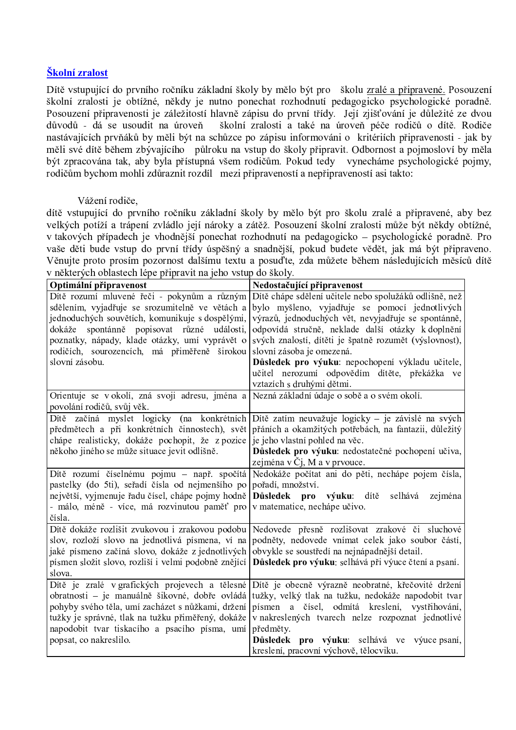## Školní zralost

Dítě vstupující do prvního ročníku základní školy by mělo být pro školu zralé a připravené. Posouzení školní zralosti je obtížné, někdy je nutno ponechat rozhodnutí pedagogicko psychologické poradně. Posouzení připravenosti je záležitostí hlavně zápisu do první třídy. Její zjišťování je důležité ze dvou důvodů - dá se usoudit na úroveň školní zralosti a také na úroveň péče rodičů o dítě. Rodiče nastávajících prvňáků by měli být na schůzce po zápisu informováni o kritériích připravenosti - jak by měli své dítě během zbývajícího půlroku na vstup do školy připravit. Odbornost a pojmosloví by měla být zpracována tak, aby byla přístupná všem rodičům. Pokud tedy vynecháme psychologické pojmy, rodičům bychom mohli zdůraznit rozdíl mezi připraveností a nepřipraveností asi takto:

## Vážení rodiče,

dítě vstupující do prvního ročníku základní školy by mělo být pro školu zralé a připravené, aby bez velkých potíží a trápení zvládlo její nároky a zátěž. Posouzení školní zralosti může být někdy obtížné, v takových případech je vhodnější ponechat rozhodnutí na pedagogicko – psychologické poradně. Pro vaše děti bude vstup do první třídy úspěšný a snadnější, pokud budete vědět, jak má být připraveno. Věnujte proto prosím pozornost dalšímu textu a posuďte, zda můžete během následujících měsíců dítě v některých oblastech léne připravit na jeho vstup do školy

| Nedostačující připravenost                                                                                |
|-----------------------------------------------------------------------------------------------------------|
| Dítě chápe sdělení učitele nebo spolužáků odlišně, než                                                    |
| bylo myšleno, vyjadřuje se pomocí jednotlivých                                                            |
| výrazů, jednoduchých vět, nevyjadřuje se spontánně,                                                       |
| odpovídá stručně, neklade další otázky k doplnění                                                         |
| svých znalostí, dítěti je špatně rozumět (výslovnost),                                                    |
| slovní zásoba je omezená.                                                                                 |
| Důsledek pro výuku: nepochopení výkladu učitele,                                                          |
| učitel nerozumí odpovědím dítěte, překážka ve                                                             |
| vztazích s druhými dětmi.                                                                                 |
| Orientuje se v okolí, zná svoji adresu, jména a Nezná základní údaje o sobě a o svém okolí.               |
|                                                                                                           |
| Dítě zatím neuvažuje logicky – je závislé na svých                                                        |
| přáních a okamžitých potřebách, na fantazii, důležitý                                                     |
| je jeho vlastní pohled na věc.                                                                            |
| Důsledek pro výuku: nedostatečné pochopení učiva,                                                         |
| zejména v Čj, M a v prvouce.                                                                              |
| Nedokáže počítat ani do pěti, nechápe pojem čísla,                                                        |
| pořadí, množství.                                                                                         |
| Důsledek pro<br>výuku: dítě<br>selhává<br>zejména                                                         |
| v matematice, nechápe učivo.                                                                              |
|                                                                                                           |
| Nedovede přesně rozlišovat zrakové či sluchové                                                            |
| podněty, nedovede vnímat celek jako soubor částí,                                                         |
| obvykle se soustředí na nejnápadnější detail.                                                             |
| Důsledek pro výuku: selhává při výuce čtení a psaní.                                                      |
|                                                                                                           |
| Dítě je obecně výrazně neobratné, křečovité držení<br>tužky, velký tlak na tužku, nedokáže napodobit tvar |
| písmen a čísel, odmítá kreslení, vystřihování,                                                            |
| v nakreslených tvarech nelze rozpoznat jednotlivé                                                         |
| předměty.                                                                                                 |
| Důsledek pro výuku: selhává ve výuce psaní,                                                               |
| kreslení, pracovní výchově, tělocviku.                                                                    |
|                                                                                                           |